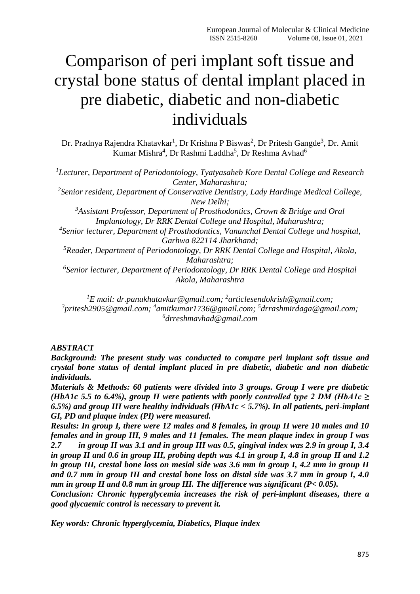# Comparison of peri implant soft tissue and crystal bone status of dental implant placed in pre diabetic, diabetic and non-diabetic individuals

Dr. Pradnya Rajendra Khatavkar<sup>1</sup>, Dr Krishna P Biswas<sup>2</sup>, Dr Pritesh Gangde<sup>3</sup>, Dr. Amit Kumar Mishra<sup>4</sup>, Dr Rashmi Laddha<sup>5</sup>, Dr Reshma Avhad<sup>6</sup>

*<sup>1</sup>Lecturer, Department of Periodontology, Tyatyasaheb Kore Dental College and Research Center, Maharashtra;*

*2 Senior resident, Department of Conservative Dentistry, Lady Hardinge Medical College, New Delhi;*

*<sup>3</sup>Assistant Professor, Department of Prosthodontics, Crown & Bridge and Oral Implantology, Dr RRK Dental College and Hospital, Maharashtra;*

*4 Senior lecturer, Department of Prosthodontics, Vananchal Dental College and hospital, Garhwa 822114 Jharkhand;*

*<sup>5</sup>Reader, Department of Periodontology, Dr RRK Dental College and Hospital, Akola, Maharashtra;*

*6 Senior lecturer, Department of Periodontology, Dr RRK Dental College and Hospital Akola, Maharashtra*

*<sup>1</sup>E mail: [dr.panukhatavkar@gmail.com;](mailto:dr.panukhatavkar@gmail.com) 2 [articlesendokrish@gmail.com;](mailto:2articlesendokrish@gmail.com) 3 [pritesh2905@gmail.com;](mailto:3pritesh2905@gmail.com) 4 [amitkumar1736@gmail.com;](mailto:4amitkumar1736@gmail.com) 5 [drrashmirdaga@gmail.com;](mailto:5drrashmirdaga@gmail.com) 6 drreshmavhad@gmail.com*

#### *ABSTRACT*

*Background: The present study was conducted to compare peri implant soft tissue and crystal bone status of dental implant placed in pre diabetic, diabetic and non diabetic individuals.*

*Materials & Methods: 60 patients were divided into 3 groups. Group I were pre diabetic (HbA1c 5.5 to 6.4%), group II were patients with poorly controlled type 2 DM (HbA1c*  $\geq$ *6.5%) and group III were healthy individuals (HbA1c < 5.7%). In all patients, peri-implant GI, PD and plaque index (PI) were measured.* 

*Results: In group I, there were 12 males and 8 females, in group II were 10 males and 10 females and in group III, 9 males and 11 females. The mean plaque index in group I was 2.7 in group II was 3.1 and in group III was 0.5, gingival index was 2.9 in group I, 3.4 in group II and 0.6 in group III, probing depth was 4.1 in group I, 4.8 in group II and 1.2 in group III, crestal bone loss on mesial side was 3.6 mm in group I, 4.2 mm in group II and 0.7 mm in group III and crestal bone loss on distal side was 3.7 mm in group I, 4.0 mm in group II and 0.8 mm in group III. The difference was significant (P< 0.05).*

*Conclusion: Chronic hyperglycemia increases the risk of peri-implant diseases, there a good glycaemic control is necessary to prevent it.*

*Key words: Chronic hyperglycemia, Diabetics, Plaque index*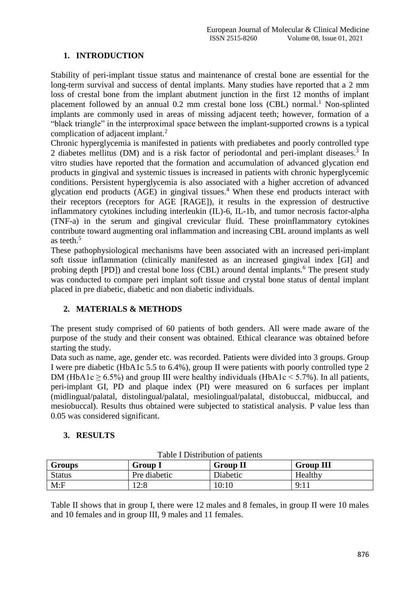## **1. INTRODUCTION**

Stability of peri-implant tissue status and maintenance of crestal bone are essential for the long-term survival and success of dental implants. Many studies have reported that a 2 mm loss of crestal bone from the implant abutment junction in the first 12 months of implant placement followed by an annual  $0.2$  mm crestal bone loss (CBL) normal.<sup>1</sup> Non-splinted implants are commonly used in areas of missing adjacent teeth; however, formation of a "black triangle" in the interproximal space between the implant-supported crowns is a typical complication of adjacent implant.<sup>2</sup>

Chronic hyperglycemia is manifested in patients with prediabetes and poorly controlled type 2 diabetes mellitus (DM) and is a risk factor of periodontal and peri-implant diseases.<sup>3</sup> In vitro studies have reported that the formation and accumulation of advanced glycation end products in gingival and systemic tissues is increased in patients with chronic hyperglycemic conditions. Persistent hyperglycemia is also associated with a higher accretion of advanced glycation end products  $(AGE)$  in gingival tissues.<sup>4</sup> When these end products interact with their receptors (receptors for AGE [RAGE]), it results in the expression of destructive inflammatory cytokines including interleukin (IL)-6, IL-1b, and tumor necrosis factor-alpha (TNF-a) in the serum and gingival crevicular fluid. These proinflammatory cytokines contribute toward augmenting oral inflammation and increasing CBL around implants as well as teeth.<sup>5</sup>

These pathophysiological mechanisms have been associated with an increased peri-implant soft tissue inflammation (clinically manifested as an increased gingival index [GI] and probing depth [PD]) and crestal bone loss (CBL) around dental implants.<sup>6</sup> The present study was conducted to compare peri implant soft tissue and crystal bone status of dental implant placed in pre diabetic, diabetic and non diabetic individuals.

### **2. MATERIALS & METHODS**

The present study comprised of 60 patients of both genders. All were made aware of the purpose of the study and their consent was obtained. Ethical clearance was obtained before starting the study.

Data such as name, age, gender etc. was recorded. Patients were divided into 3 groups. Group I were pre diabetic (HbA1c 5.5 to 6.4%), group II were patients with poorly controlled type 2 DM (HbA1c  $> 6.5\%$ ) and group III were healthy individuals (HbA1c  $< 5.7\%$ ). In all patients, peri-implant GI, PD and plaque index (PI) were measured on 6 surfaces per implant (midlingual/palatal, distolingual/palatal, mesiolingual/palatal, distobuccal, midbuccal, and mesiobuccal). Results thus obtained were subjected to statistical analysis. P value less than 0.05 was considered significant.

### **3. RESULTS**

| Table I Distribution of patients |                |                 |                  |  |  |
|----------------------------------|----------------|-----------------|------------------|--|--|
| <b>Groups</b>                    | <b>Group I</b> | <b>Group II</b> | <b>Group III</b> |  |  |
| <b>Status</b>                    | Pre diabetic   | Diabetic        | Healthy          |  |  |
| M: F                             | 12:8           | 10:10           | 9:11             |  |  |

Table I Distribution of patients

Table II shows that in group I, there were 12 males and 8 females, in group II were 10 males and 10 females and in group III, 9 males and 11 females.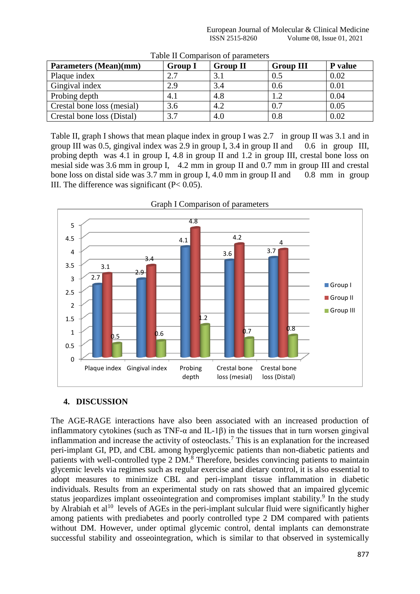European Journal of Molecular & Clinical Medicine<br>ISSN 2515-8260 Volume 08. Issue 01, 2021 Volume 08, Issue 01, 2021

| Parameters (Mean)(mm)      | <b>Group I</b> | <b>Group II</b> | <b>Group III</b> | P value |  |  |
|----------------------------|----------------|-----------------|------------------|---------|--|--|
| Plaque index               | 2.7            | 3.1             | 0.5              | 0.02    |  |  |
| Gingival index             | 2.9            | 3.4             | 0.6              | 0.01    |  |  |
| Probing depth              | 4.1            | 4.8             |                  | 0.04    |  |  |
| Crestal bone loss (mesial) | 3.6            | 4.2             | 0.7              | 0.05    |  |  |
| Crestal bone loss (Distal) | 3.7            | 4.0             | 0.8              | 0.02    |  |  |

Table II Comparison of parameters

Table II, graph I shows that mean plaque index in group I was 2.7 in group II was 3.1 and in group III was 0.5, gingival index was 2.9 in group I, 3.4 in group II and 0.6 in group III, probing depth was 4.1 in group I, 4.8 in group II and 1.2 in group III, crestal bone loss on mesial side was 3.6 mm in group I, 4.2 mm in group II and 0.7 mm in group III and crestal bone loss on distal side was 3.7 mm in group I, 4.0 mm in group II and 0.8 mm in group III. The difference was significant  $(P< 0.05)$ .





#### **4. DISCUSSION**

The AGE-RAGE interactions have also been associated with an increased production of inflammatory cytokines (such as TNF- $\alpha$  and IL-1 $\beta$ ) in the tissues that in turn worsen gingival inflammation and increase the activity of osteoclasts.<sup>7</sup> This is an explanation for the increased peri-implant GI, PD, and CBL among hyperglycemic patients than non-diabetic patients and patients with well-controlled type 2 DM.<sup>8</sup> Therefore, besides convincing patients to maintain glycemic levels via regimes such as regular exercise and dietary control, it is also essential to adopt measures to minimize CBL and peri-implant tissue inflammation in diabetic individuals. Results from an experimental study on rats showed that an impaired glycemic status jeopardizes implant osseointegration and compromises implant stability.<sup>9</sup> In the study by Alrabiah et al<sup>10</sup> levels of AGEs in the peri-implant sulcular fluid were significantly higher among patients with prediabetes and poorly controlled type 2 DM compared with patients without DM. However, under optimal glycemic control, dental implants can demonstrate successful stability and osseointegration, which is similar to that observed in systemically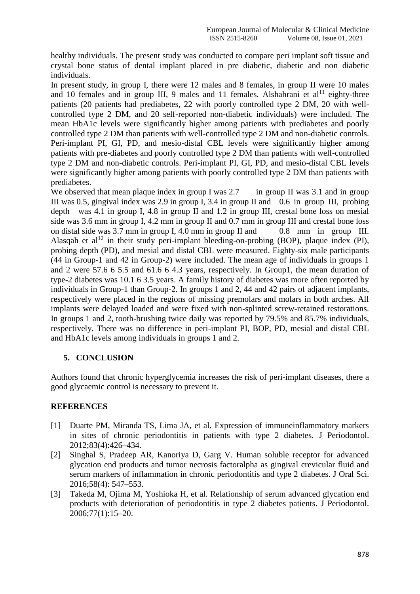healthy individuals. The present study was conducted to compare peri implant soft tissue and crystal bone status of dental implant placed in pre diabetic, diabetic and non diabetic individuals.

In present study, in group I, there were 12 males and 8 females, in group II were 10 males and 10 females and in group III, 9 males and 11 females. Alshahrani et  $al<sup>11</sup>$  eighty-three patients (20 patients had prediabetes, 22 with poorly controlled type 2 DM, 20 with wellcontrolled type 2 DM, and 20 self-reported non-diabetic individuals) were included. The mean HbA1c levels were significantly higher among patients with prediabetes and poorly controlled type 2 DM than patients with well-controlled type 2 DM and non-diabetic controls. Peri-implant PI, GI, PD, and mesio-distal CBL levels were significantly higher among patients with pre-diabetes and poorly controlled type 2 DM than patients with well-controlled type 2 DM and non-diabetic controls. Peri-implant PI, GI, PD, and mesio-distal CBL levels were significantly higher among patients with poorly controlled type 2 DM than patients with prediabetes.

We observed that mean plaque index in group I was  $2.7$  in group II was  $3.1$  and in group III was 0.5, gingival index was 2.9 in group I, 3.4 in group II and 0.6 in group III, probing depth was 4.1 in group I, 4.8 in group II and 1.2 in group III, crestal bone loss on mesial side was 3.6 mm in group I, 4.2 mm in group II and 0.7 mm in group III and crestal bone loss on distal side was 3.7 mm in group I, 4.0 mm in group II and 0.8 mm in group III. Alasqah et al<sup>12</sup> in their study peri-implant bleeding-on-probing (BOP), plaque index (PI), probing depth (PD), and mesial and distal CBL were measured. Eighty-six male participants (44 in Group-1 and 42 in Group-2) were included. The mean age of individuals in groups 1 and 2 were 57.6 6 5.5 and 61.6 6 4.3 years, respectively. In Group1, the mean duration of type-2 diabetes was 10.1 6 3.5 years. A family history of diabetes was more often reported by individuals in Group-1 than Group-2. In groups 1 and 2, 44 and 42 pairs of adjacent implants, respectively were placed in the regions of missing premolars and molars in both arches. All implants were delayed loaded and were fixed with non-splinted screw-retained restorations. In groups 1 and 2, tooth-brushing twice daily was reported by 79.5% and 85.7% individuals, respectively. There was no difference in peri-implant PI, BOP, PD, mesial and distal CBL and HbA1c levels among individuals in groups 1 and 2.

## **5. CONCLUSION**

Authors found that chronic hyperglycemia increases the risk of peri-implant diseases, there a good glycaemic control is necessary to prevent it.

### **REFERENCES**

- [1] Duarte PM, Miranda TS, Lima JA, et al. Expression of immuneinflammatory markers in sites of chronic periodontitis in patients with type 2 diabetes. J Periodontol. 2012;83(4):426–434.
- [2] Singhal S, Pradeep AR, Kanoriya D, Garg V. Human soluble receptor for advanced glycation end products and tumor necrosis factoralpha as gingival crevicular fluid and serum markers of inflammation in chronic periodontitis and type 2 diabetes. J Oral Sci. 2016;58(4): 547–553.
- [3] Takeda M, Ojima M, Yoshioka H, et al. Relationship of serum advanced glycation end products with deterioration of periodontitis in type 2 diabetes patients. J Periodontol. 2006;77(1):15–20.